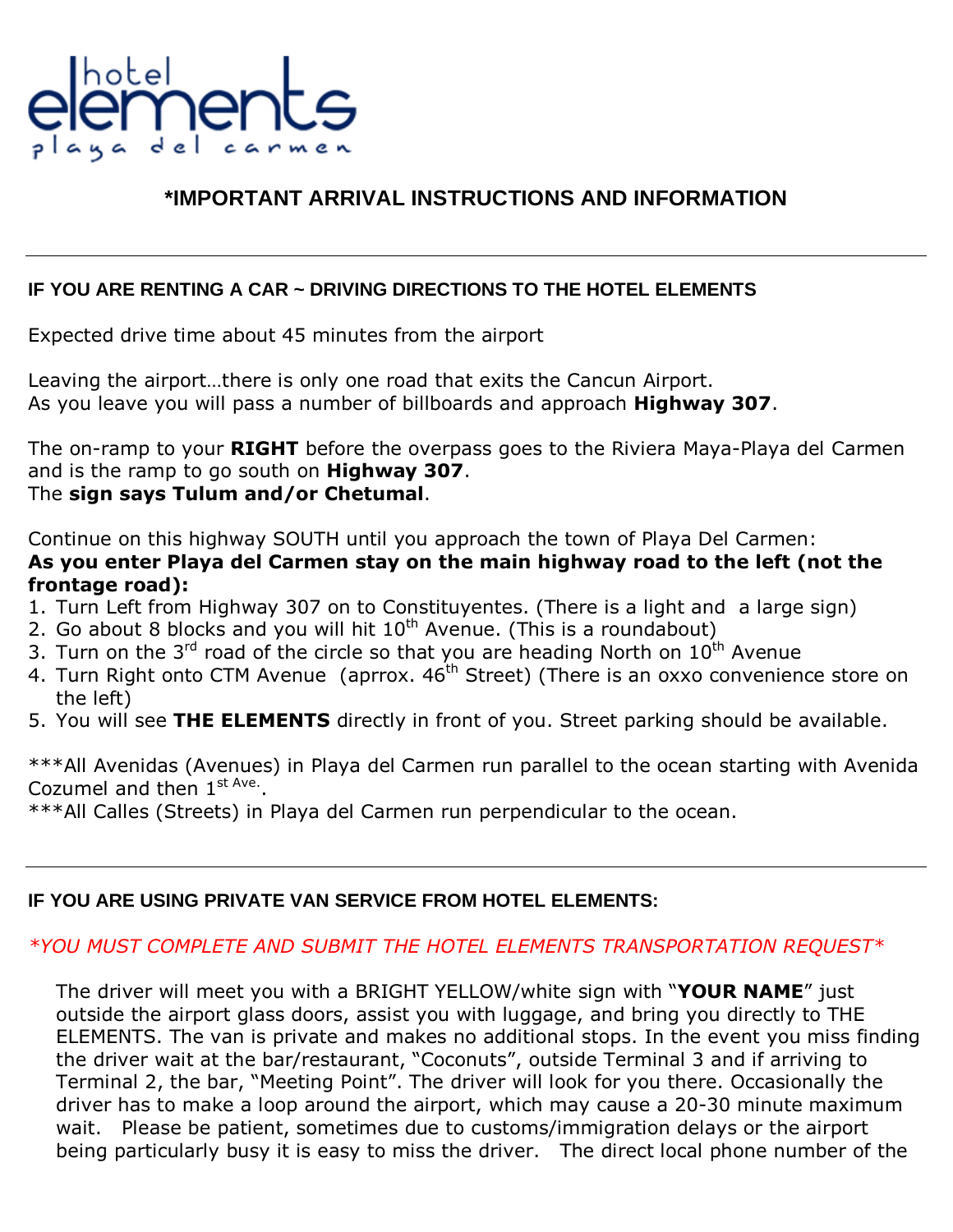

# **\*IMPORTANT ARRIVAL INSTRUCTIONS AND INFORMATION**

### **IF YOU ARE RENTING A CAR ~ DRIVING DIRECTIONS TO THE HOTEL ELEMENTS**

Expected drive time about 45 minutes from the airport

Leaving the airport...there is only one road that exits the Cancun Airport. As you leave you will pass a number of billboards and approach **Highway 307**.

The on-ramp to your **RIGHT** before the overpass goes to the Riviera Maya-Playa del Carmen and is the ramp to go south on **Highway 307**. The **sign says Tulum and/or Chetumal**.

Continue on this highway SOUTH until you approach the town of Playa Del Carmen: **As you enter Playa del Carmen stay on the main highway road to the left (not the frontage road):** 

- 1. Turn Left from Highway 307 on to Constituyentes. (There is a light and a large sign)
- 2. Go about 8 blocks and you will hit  $10^{th}$  Avenue. (This is a roundabout)
- 3. Turn on the 3<sup>rd</sup> road of the circle so that you are heading North on  $10^{th}$  Avenue
- 4. Turn Right onto CTM Avenue (aprrox.  $46<sup>th</sup>$  Street) (There is an oxxo convenience store on the left)
- 5. You will see **THE ELEMENTS** directly in front of you. Street parking should be available.

\*\*\*All Avenidas (Avenues) in Playa del Carmen run parallel to the ocean starting with Avenida Cozumel and then  $1^{\text{st Ave}}$ .

\*\*\*All Calles (Streets) in Playa del Carmen run perpendicular to the ocean.

## **IF YOU ARE USING PRIVATE VAN SERVICE FROM HOTEL ELEMENTS:**

## *\*YOU MUST COMPLETE AND SUBMIT THE HOTEL ELEMENTS TRANSPORTATION REQUEST\**

The driver will meet you with a BRIGHT YELLOW/white sign with "YOUR NAME" just outside the airport glass doors, assist you with luggage, and bring you directly to THE ELEMENTS. The van is private and makes no additional stops. In the event you miss finding the driver wait at the bar/restaurant, "Coconuts", outside Terminal 3 and if arriving to Terminal 2, the bar, "Meeting Point". The driver will look for you there. Occasionally the driver has to make a loop around the airport, which may cause a 20-30 minute maximum wait. Please be patient, sometimes due to customs/immigration delays or the airport being particularly busy it is easy to miss the driver. The direct local phone number of the